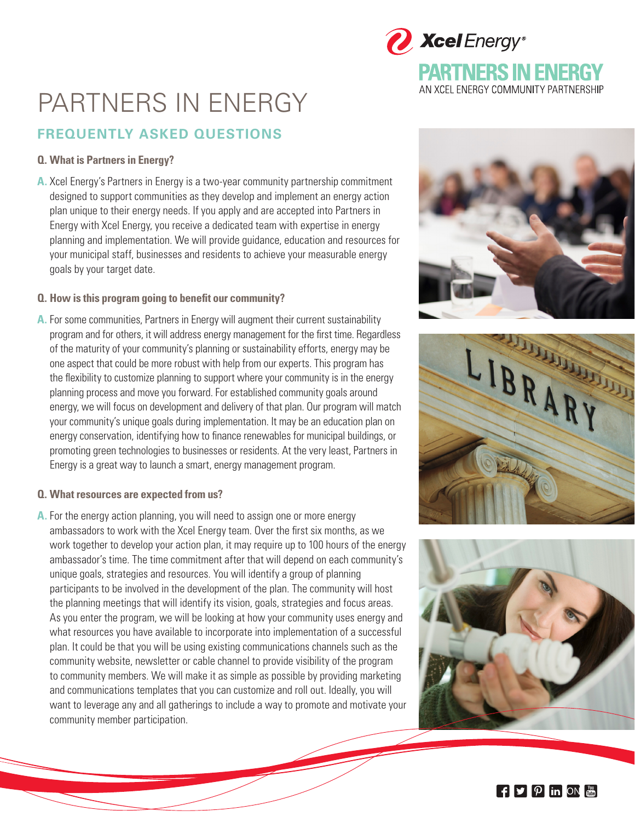# PARTNERS IN ENERGY

# **FREQUENTLY ASKED QUESTIONS**

# **Q. What is Partners in Energy?**

**A.** Xcel Energy's Partners in Energy is a two-year community partnership commitment designed to support communities as they develop and implement an energy action plan unique to their energy needs. If you apply and are accepted into Partners in Energy with Xcel Energy, you receive a dedicated team with expertise in energy planning and implementation. We will provide guidance, education and resources for your municipal staff, businesses and residents to achieve your measurable energy goals by your target date.

### **Q. How is this program going to benefit our community?**

**A.** For some communities, Partners in Energy will augment their current sustainability program and for others, it will address energy management for the first time. Regardless of the maturity of your community's planning or sustainability efforts, energy may be one aspect that could be more robust with help from our experts. This program has the flexibility to customize planning to support where your community is in the energy planning process and move you forward. For established community goals around energy, we will focus on development and delivery of that plan. Our program will match your community's unique goals during implementation. It may be an education plan on energy conservation, identifying how to finance renewables for municipal buildings, or promoting green technologies to businesses or residents. At the very least, Partners in Energy is a great way to launch a smart, energy management program.

#### **Q. What resources are expected from us?**

**A.** For the energy action planning, you will need to assign one or more energy ambassadors to work with the Xcel Energy team. Over the first six months, as we work together to develop your action plan, it may require up to 100 hours of the energy ambassador's time. The time commitment after that will depend on each community's unique goals, strategies and resources. You will identify a group of planning participants to be involved in the development of the plan. The community will host the planning meetings that will identify its vision, goals, strategies and focus areas. As you enter the program, we will be looking at how your community uses energy and what resources you have available to incorporate into implementation of a successful plan. It could be that you will be using existing communications channels such as the community website, newsletter or cable channel to provide visibility of the program to community members. We will make it as simple as possible by providing marketing and communications templates that you can customize and roll out. Ideally, you will want to leverage any and all gatherings to include a way to promote and motivate your community member participation.



**PARTNERS IN ENERGY** AN XCEL ENERGY COMMUNITY PARTNERSHIP

Xcel Energy®





 $\mathbf{f}$   $\mathbf{y}$   $\mathbf{p}$  in on  $\mathbf{m}$